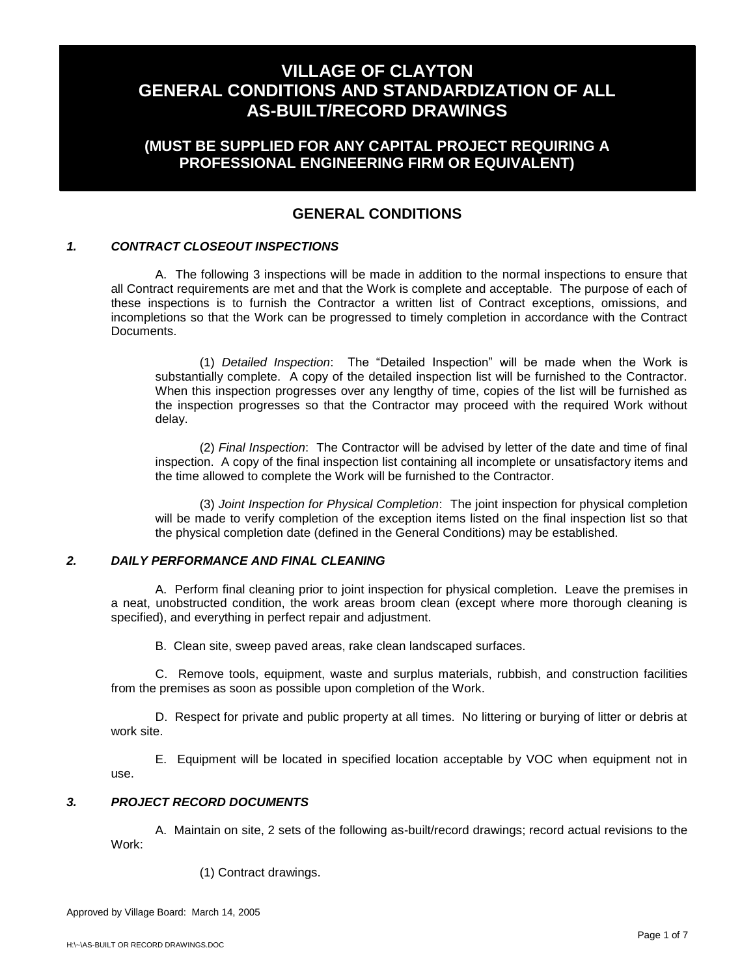## **(MUST BE SUPPLIED FOR ANY CAPITAL PROJECT REQUIRING A PROFESSIONAL ENGINEERING FIRM OR EQUIVALENT)**

## **GENERAL CONDITIONS**

### *1. CONTRACT CLOSEOUT INSPECTIONS*

A. The following 3 inspections will be made in addition to the normal inspections to ensure that all Contract requirements are met and that the Work is complete and acceptable. The purpose of each of these inspections is to furnish the Contractor a written list of Contract exceptions, omissions, and incompletions so that the Work can be progressed to timely completion in accordance with the Contract Documents.

(1) *Detailed Inspection*: The "Detailed Inspection" will be made when the Work is substantially complete. A copy of the detailed inspection list will be furnished to the Contractor. When this inspection progresses over any lengthy of time, copies of the list will be furnished as the inspection progresses so that the Contractor may proceed with the required Work without delay.

(2) *Final Inspection*: The Contractor will be advised by letter of the date and time of final inspection. A copy of the final inspection list containing all incomplete or unsatisfactory items and the time allowed to complete the Work will be furnished to the Contractor.

(3) *Joint Inspection for Physical Completion*: The joint inspection for physical completion will be made to verify completion of the exception items listed on the final inspection list so that the physical completion date (defined in the General Conditions) may be established.

### *2. DAILY PERFORMANCE AND FINAL CLEANING*

A. Perform final cleaning prior to joint inspection for physical completion. Leave the premises in a neat, unobstructed condition, the work areas broom clean (except where more thorough cleaning is specified), and everything in perfect repair and adjustment.

B. Clean site, sweep paved areas, rake clean landscaped surfaces.

C. Remove tools, equipment, waste and surplus materials, rubbish, and construction facilities from the premises as soon as possible upon completion of the Work.

D. Respect for private and public property at all times. No littering or burying of litter or debris at work site.

E. Equipment will be located in specified location acceptable by VOC when equipment not in use.

### *3. PROJECT RECORD DOCUMENTS*

A. Maintain on site, 2 sets of the following as-built/record drawings; record actual revisions to the Work:

(1) Contract drawings.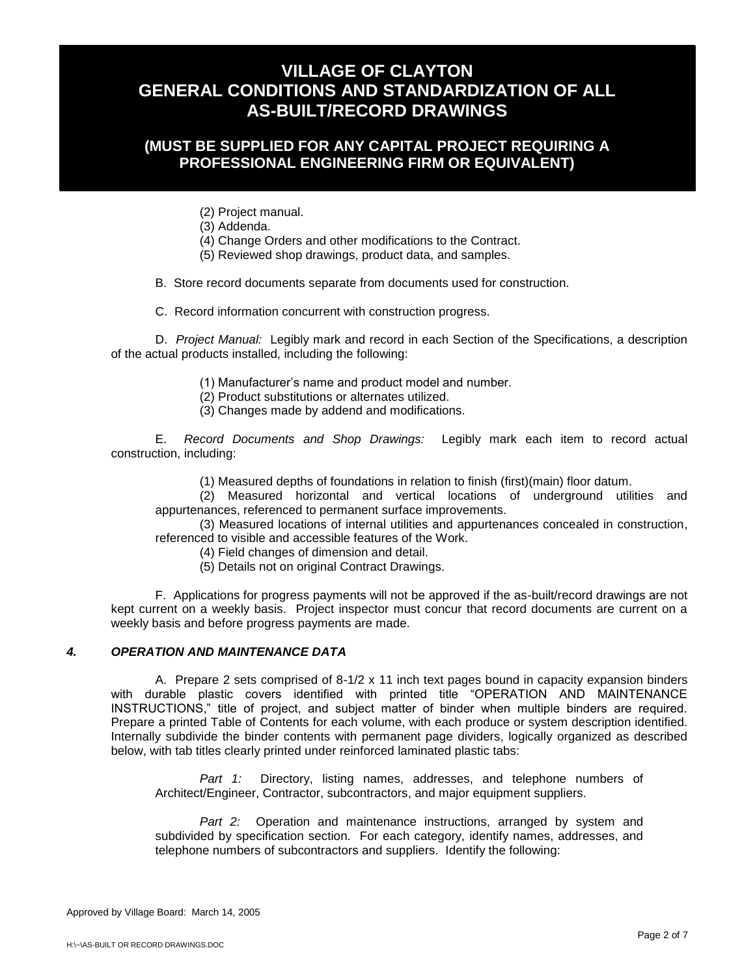## **(MUST BE SUPPLIED FOR ANY CAPITAL PROJECT REQUIRING A PROFESSIONAL ENGINEERING FIRM OR EQUIVALENT)**

(2) Project manual.

(3) Addenda.

(4) Change Orders and other modifications to the Contract.

(5) Reviewed shop drawings, product data, and samples.

B. Store record documents separate from documents used for construction.

C. Record information concurrent with construction progress.

D. *Project Manual:* Legibly mark and record in each Section of the Specifications, a description of the actual products installed, including the following:

(1) Manufacturer's name and product model and number.

(2) Product substitutions or alternates utilized.

(3) Changes made by addend and modifications.

E. *Record Documents and Shop Drawings:* Legibly mark each item to record actual construction, including:

(1) Measured depths of foundations in relation to finish (first)(main) floor datum.

(2) Measured horizontal and vertical locations of underground utilities and appurtenances, referenced to permanent surface improvements.

(3) Measured locations of internal utilities and appurtenances concealed in construction, referenced to visible and accessible features of the Work.

(4) Field changes of dimension and detail.

(5) Details not on original Contract Drawings.

F. Applications for progress payments will not be approved if the as-built/record drawings are not kept current on a weekly basis. Project inspector must concur that record documents are current on a weekly basis and before progress payments are made.

### *4. OPERATION AND MAINTENANCE DATA*

A. Prepare 2 sets comprised of 8-1/2 x 11 inch text pages bound in capacity expansion binders with durable plastic covers identified with printed title "OPERATION AND MAINTENANCE INSTRUCTIONS," title of project, and subject matter of binder when multiple binders are required. Prepare a printed Table of Contents for each volume, with each produce or system description identified. Internally subdivide the binder contents with permanent page dividers, logically organized as described below, with tab titles clearly printed under reinforced laminated plastic tabs:

*Part 1:* Directory, listing names, addresses, and telephone numbers of Architect/Engineer, Contractor, subcontractors, and major equipment suppliers.

*Part 2:* Operation and maintenance instructions, arranged by system and subdivided by specification section. For each category, identify names, addresses, and telephone numbers of subcontractors and suppliers. Identify the following: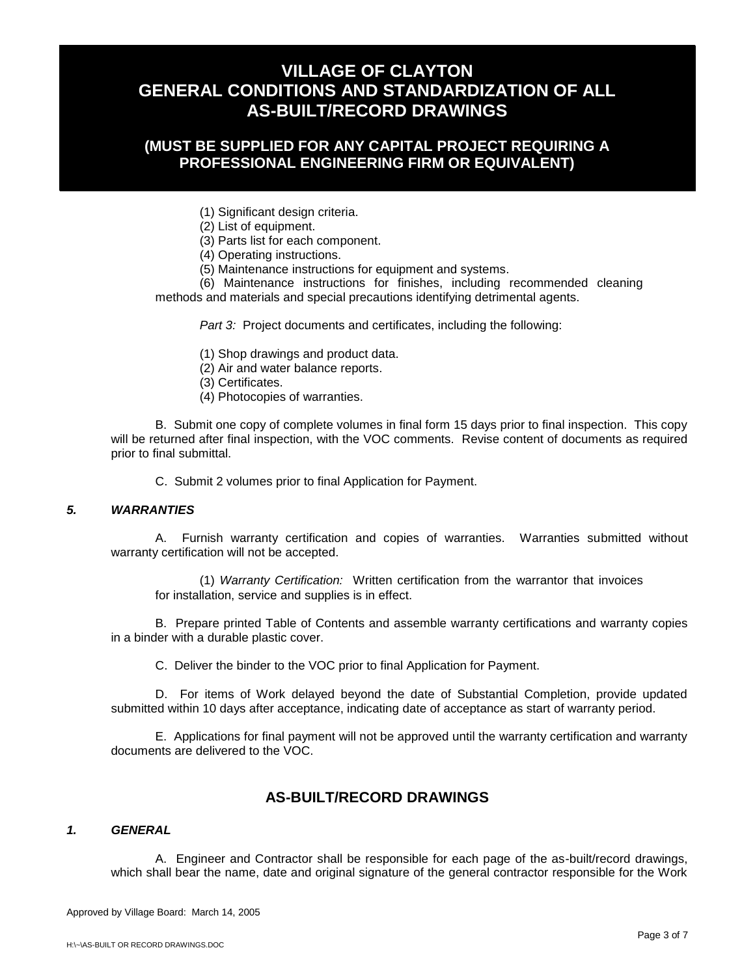## **(MUST BE SUPPLIED FOR ANY CAPITAL PROJECT REQUIRING A PROFESSIONAL ENGINEERING FIRM OR EQUIVALENT)**

(1) Significant design criteria.

(2) List of equipment.

(3) Parts list for each component.

(4) Operating instructions.

(5) Maintenance instructions for equipment and systems.

(6) Maintenance instructions for finishes, including recommended cleaning methods and materials and special precautions identifying detrimental agents.

*Part 3:* Project documents and certificates, including the following:

(1) Shop drawings and product data.

(2) Air and water balance reports.

(3) Certificates.

(4) Photocopies of warranties.

B. Submit one copy of complete volumes in final form 15 days prior to final inspection. This copy will be returned after final inspection, with the VOC comments. Revise content of documents as required prior to final submittal.

C. Submit 2 volumes prior to final Application for Payment.

### *5. WARRANTIES*

A. Furnish warranty certification and copies of warranties. Warranties submitted without warranty certification will not be accepted.

(1) *Warranty Certification:* Written certification from the warrantor that invoices for installation, service and supplies is in effect.

B. Prepare printed Table of Contents and assemble warranty certifications and warranty copies in a binder with a durable plastic cover.

C. Deliver the binder to the VOC prior to final Application for Payment.

D. For items of Work delayed beyond the date of Substantial Completion, provide updated submitted within 10 days after acceptance, indicating date of acceptance as start of warranty period.

E. Applications for final payment will not be approved until the warranty certification and warranty documents are delivered to the VOC.

### **AS-BUILT/RECORD DRAWINGS**

#### *1. GENERAL*

A. Engineer and Contractor shall be responsible for each page of the as-built/record drawings, which shall bear the name, date and original signature of the general contractor responsible for the Work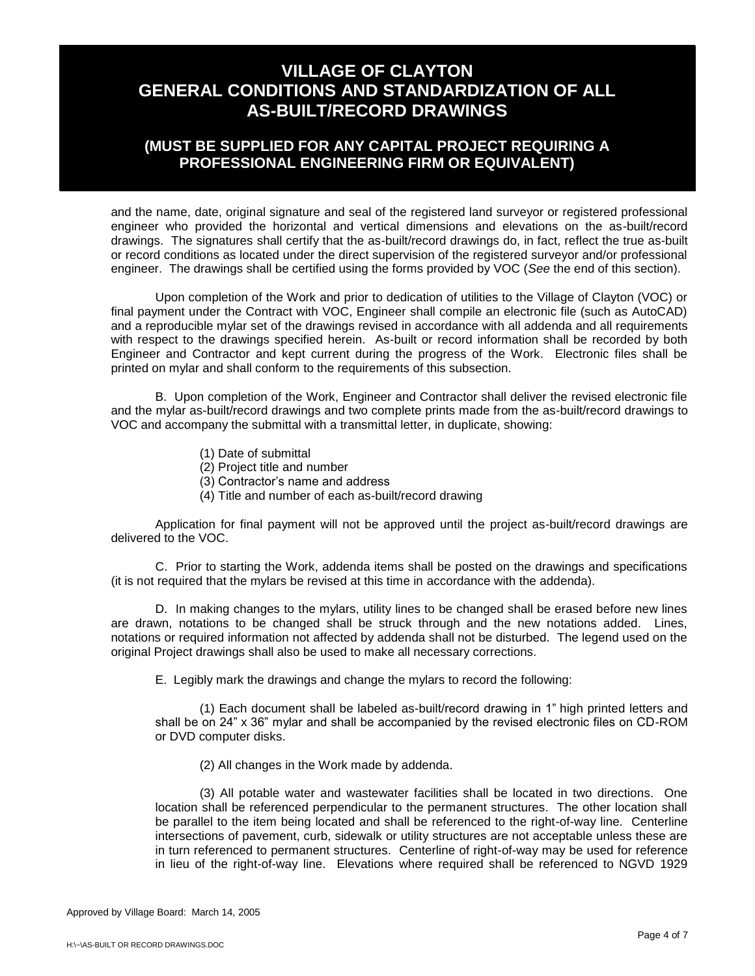## **(MUST BE SUPPLIED FOR ANY CAPITAL PROJECT REQUIRING A PROFESSIONAL ENGINEERING FIRM OR EQUIVALENT)**

and the name, date, original signature and seal of the registered land surveyor or registered professional engineer who provided the horizontal and vertical dimensions and elevations on the as-built/record drawings. The signatures shall certify that the as-built/record drawings do, in fact, reflect the true as-built or record conditions as located under the direct supervision of the registered surveyor and/or professional engineer. The drawings shall be certified using the forms provided by VOC (*See* the end of this section).

Upon completion of the Work and prior to dedication of utilities to the Village of Clayton (VOC) or final payment under the Contract with VOC, Engineer shall compile an electronic file (such as AutoCAD) and a reproducible mylar set of the drawings revised in accordance with all addenda and all requirements with respect to the drawings specified herein. As-built or record information shall be recorded by both Engineer and Contractor and kept current during the progress of the Work. Electronic files shall be printed on mylar and shall conform to the requirements of this subsection.

B. Upon completion of the Work, Engineer and Contractor shall deliver the revised electronic file and the mylar as-built/record drawings and two complete prints made from the as-built/record drawings to VOC and accompany the submittal with a transmittal letter, in duplicate, showing:

- (1) Date of submittal
- (2) Project title and number
- (3) Contractor's name and address
- (4) Title and number of each as-built/record drawing

Application for final payment will not be approved until the project as-built/record drawings are delivered to the VOC.

C. Prior to starting the Work, addenda items shall be posted on the drawings and specifications (it is not required that the mylars be revised at this time in accordance with the addenda).

D. In making changes to the mylars, utility lines to be changed shall be erased before new lines are drawn, notations to be changed shall be struck through and the new notations added. Lines, notations or required information not affected by addenda shall not be disturbed. The legend used on the original Project drawings shall also be used to make all necessary corrections.

E. Legibly mark the drawings and change the mylars to record the following:

(1) Each document shall be labeled as-built/record drawing in 1" high printed letters and shall be on 24" x 36" mylar and shall be accompanied by the revised electronic files on CD-ROM or DVD computer disks.

(2) All changes in the Work made by addenda.

(3) All potable water and wastewater facilities shall be located in two directions. One location shall be referenced perpendicular to the permanent structures. The other location shall be parallel to the item being located and shall be referenced to the right-of-way line. Centerline intersections of pavement, curb, sidewalk or utility structures are not acceptable unless these are in turn referenced to permanent structures. Centerline of right-of-way may be used for reference in lieu of the right-of-way line. Elevations where required shall be referenced to NGVD 1929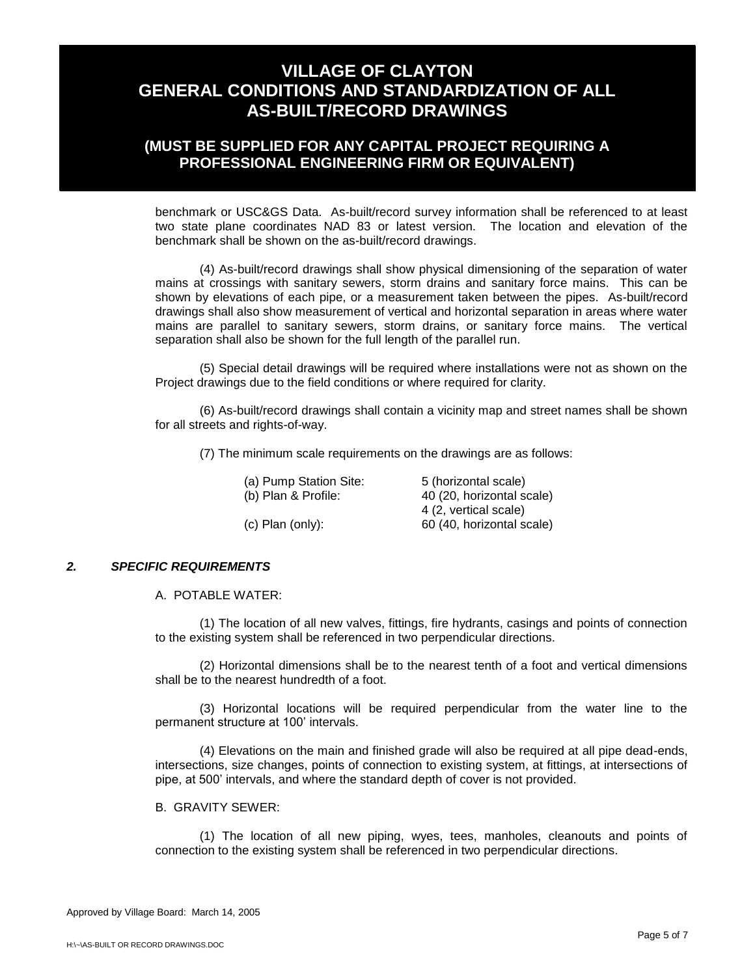## **(MUST BE SUPPLIED FOR ANY CAPITAL PROJECT REQUIRING A PROFESSIONAL ENGINEERING FIRM OR EQUIVALENT)**

benchmark or USC&GS Data. As-built/record survey information shall be referenced to at least two state plane coordinates NAD 83 or latest version. The location and elevation of the benchmark shall be shown on the as-built/record drawings.

(4) As-built/record drawings shall show physical dimensioning of the separation of water mains at crossings with sanitary sewers, storm drains and sanitary force mains. This can be shown by elevations of each pipe, or a measurement taken between the pipes. As-built/record drawings shall also show measurement of vertical and horizontal separation in areas where water mains are parallel to sanitary sewers, storm drains, or sanitary force mains. The vertical separation shall also be shown for the full length of the parallel run.

(5) Special detail drawings will be required where installations were not as shown on the Project drawings due to the field conditions or where required for clarity.

(6) As-built/record drawings shall contain a vicinity map and street names shall be shown for all streets and rights-of-way.

(7) The minimum scale requirements on the drawings are as follows:

| (a) Pump Station Site: | 5 (horizontal scale)      |
|------------------------|---------------------------|
| (b) Plan & Profile:    | 40 (20, horizontal scale) |
|                        | 4 (2, vertical scale)     |
| $(c)$ Plan $(only)$ :  | 60 (40, horizontal scale) |
|                        |                           |

### *2. SPECIFIC REQUIREMENTS*

A. POTABLE WATER:

(1) The location of all new valves, fittings, fire hydrants, casings and points of connection to the existing system shall be referenced in two perpendicular directions.

(2) Horizontal dimensions shall be to the nearest tenth of a foot and vertical dimensions shall be to the nearest hundredth of a foot.

(3) Horizontal locations will be required perpendicular from the water line to the permanent structure at 100' intervals.

(4) Elevations on the main and finished grade will also be required at all pipe dead-ends, intersections, size changes, points of connection to existing system, at fittings, at intersections of pipe, at 500' intervals, and where the standard depth of cover is not provided.

#### B. GRAVITY SEWER:

(1) The location of all new piping, wyes, tees, manholes, cleanouts and points of connection to the existing system shall be referenced in two perpendicular directions.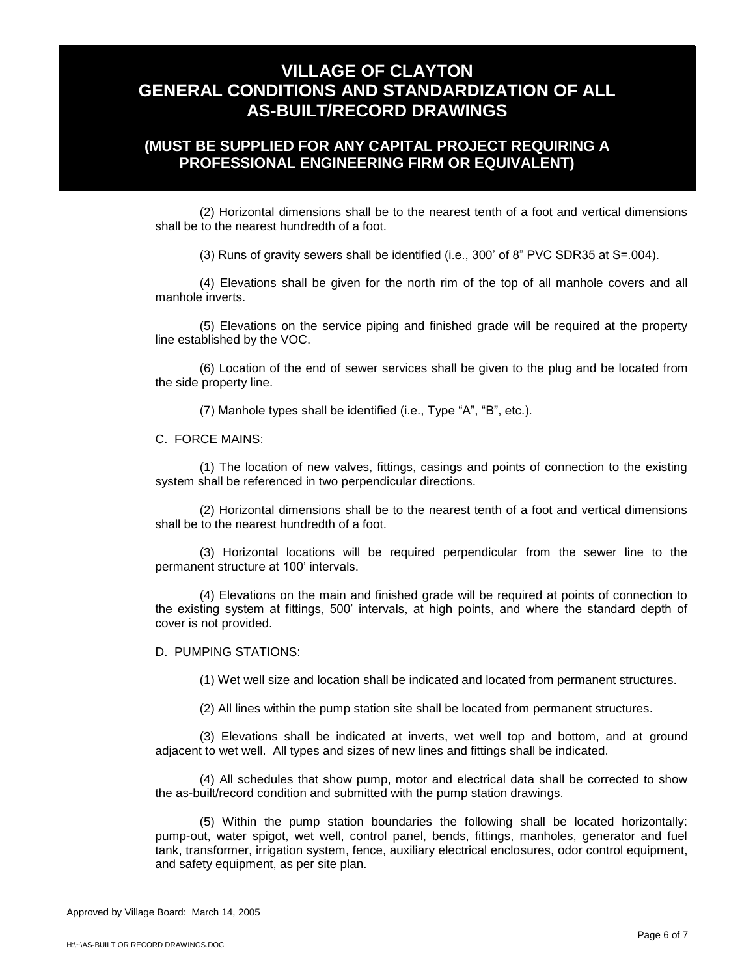## **(MUST BE SUPPLIED FOR ANY CAPITAL PROJECT REQUIRING A PROFESSIONAL ENGINEERING FIRM OR EQUIVALENT)**

(2) Horizontal dimensions shall be to the nearest tenth of a foot and vertical dimensions shall be to the nearest hundredth of a foot.

(3) Runs of gravity sewers shall be identified (i.e., 300' of 8" PVC SDR35 at S=.004).

(4) Elevations shall be given for the north rim of the top of all manhole covers and all manhole inverts.

(5) Elevations on the service piping and finished grade will be required at the property line established by the VOC.

(6) Location of the end of sewer services shall be given to the plug and be located from the side property line.

(7) Manhole types shall be identified (i.e., Type "A", "B", etc.).

C. FORCE MAINS:

(1) The location of new valves, fittings, casings and points of connection to the existing system shall be referenced in two perpendicular directions.

(2) Horizontal dimensions shall be to the nearest tenth of a foot and vertical dimensions shall be to the nearest hundredth of a foot.

(3) Horizontal locations will be required perpendicular from the sewer line to the permanent structure at 100' intervals.

(4) Elevations on the main and finished grade will be required at points of connection to the existing system at fittings, 500' intervals, at high points, and where the standard depth of cover is not provided.

D. PUMPING STATIONS:

(1) Wet well size and location shall be indicated and located from permanent structures.

(2) All lines within the pump station site shall be located from permanent structures.

(3) Elevations shall be indicated at inverts, wet well top and bottom, and at ground adjacent to wet well. All types and sizes of new lines and fittings shall be indicated.

(4) All schedules that show pump, motor and electrical data shall be corrected to show the as-built/record condition and submitted with the pump station drawings.

(5) Within the pump station boundaries the following shall be located horizontally: pump-out, water spigot, wet well, control panel, bends, fittings, manholes, generator and fuel tank, transformer, irrigation system, fence, auxiliary electrical enclosures, odor control equipment, and safety equipment, as per site plan.